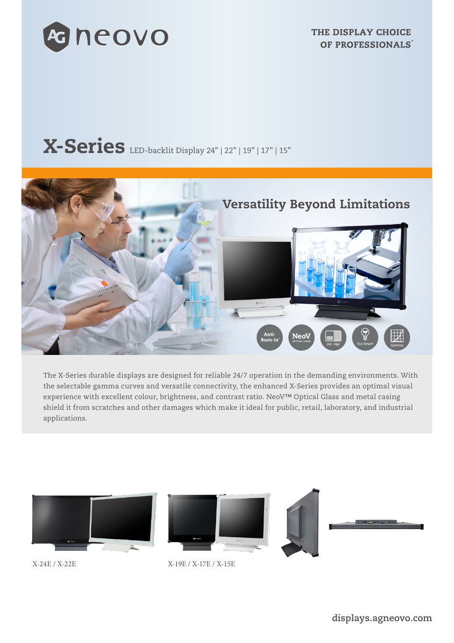

# X-Series LED-backlit Display 24" | 22" | 19" | 17" | 15"



The X-Series durable displays are designed for reliable 24/7 operation in the demanding environments. With the selectable gamma curves and versatile connectivity, the enhanced X-Series provides an optimal visual experience with excellent colour, brightness, and contrast ratio. NeoV™ Optical Glass and metal casing shield it from scratches and other damages which make it ideal for public, retail, laboratory, and industrial applications.



X-24E / X-22E X-19E / X-17E / X-15E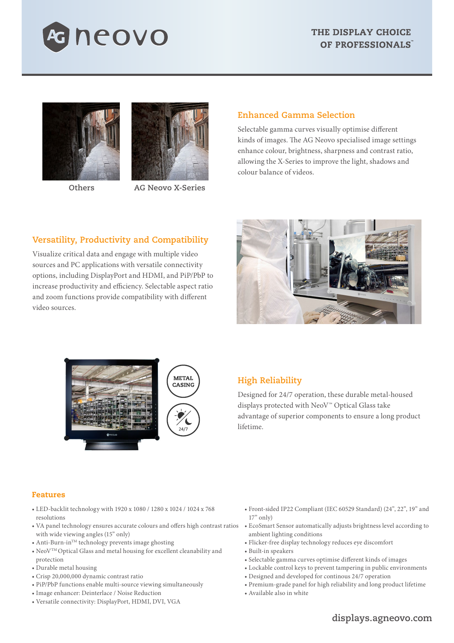





 **Others AG Neovo X-Series**

# **Enhanced Gamma Selection**

Selectable gamma curves visually optimise different kinds of images. The AG Neovo specialised image settings enhance colour, brightness, sharpness and contrast ratio, allowing the X-Series to improve the light, shadows and colour balance of videos.

# **Versatility, Productivity and Compatibility**

Visualize critical data and engage with multiple video sources and PC applications with versatile connectivity options, including DisplayPort and HDMI, and PiP/PbP to increase productivity and efficiency. Selectable aspect ratio and zoom functions provide compatibility with different video sources.





# **High Reliability**

Designed for 24/7 operation, these durable metal-housed displays protected with NeoV™ Optical Glass take advantage of superior components to ensure a long product lifetime.

### Features

- LED-backlit technology with 1920 x 1080 / 1280 x 1024 / 1024 x 768 resolutions
- VA panel technology ensures accurate colours and offers high contrast ratios EcoSmart Sensor automatically adjusts brightness level according to with wide viewing angles (15" only)
- Anti-Burn-in<sup>TM</sup> technology prevents image ghosting
- NeoVTM Optical Glass and metal housing for excellent cleanability and protection
- Durable metal housing
- Crisp 20,000,000 dynamic contrast ratio
- PiP/PbP functions enable multi-source viewing simultaneously
- Image enhancer: Deinterlace / Noise Reduction
- Versatile connectivity: DisplayPort, HDMI, DVI, VGA
- Front-sided IP22 Compliant (IEC 60529 Standard) (24", 22", 19" and  $17"$  only)
- ambient lighting conditions
- Flicker-free display technology reduces eye discomfort
- Built-in speakers
- Selectable gamma curves optimise different kinds of images
- Lockable control keys to prevent tampering in public environments
- Designed and developed for continous 24/7 operation
- Premium-grade panel for high reliability and long product lifetime
- Available also in white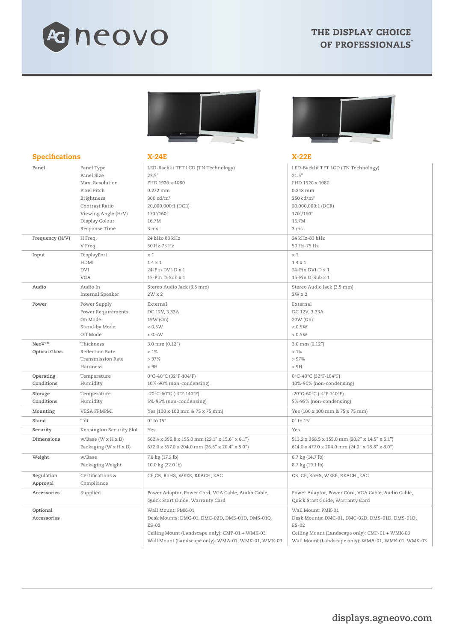





#### Specifications X-24E X-22E **Panel** Panel Type Panel Size Max. Resolution Pixel Pitch Brightness Contrast Ratio Viewing Angle (H/V) Display Colour Response Time LED-Backlit TFT LCD (TN Technology) 23.5" FHD 1920 x 1080 0.272 mm 300 cd/m2 20,000,000:1 (DCR) 170°/160° 16.7M 3 ms LED-Backlit TFT LCD (TN Technology) 21.5" FHD 1920 x 1080 0.248 mm 250 cd/m2 20,000,000:1 (DCR) 170°/160° 16.7M 3 ms **Frequency (H/V)** H Freq. V Freq. 24 kHz-83 kHz 50 Hz-75 Hz 24 kHz-83 kHz 50 Hz-75 Hz **Input** DisplayPort HDMI DVI VGA x 1 1.4 x 1 24-Pin DVI-D x 1 15-Pin D-Sub x 1 x 1 1.4 x 1 24-Pin DVI-D x 1 15-Pin D-Sub x 1 **Audio** Audio In Internal Speaker Stereo Audio Jack (3.5 mm) 2W x 2 Stereo Audio Jack (3.5 mm) 2W x 2 **Power** Power Supply Power Requirements On Mode Stand-by Mode Off Mode External DC 12V, 3.33A 19W (On)  $\geq 0.5$ W  $< 0.5W$ External DC 12V, 3.33A 20W (On)  $\sim 0.5$ W  $< 0.5W$ **NeoVTM Optical Glass** Thickness Reflection Rate Transmission Rate Hardness 3.0 mm (0.12")  $< 1\%$  $\sim$  97% > 9H 3.0 mm (0.12")  $< 1\%$  $\sim$  97% > 9H **Operating Conditions** Temperature Humidity 0°C-40°C (32°F-104°F) 10%-90% (non-condensing) 0°C-40°C (32°F-104°F) 10%-90% (non-condensing) **Storage Conditions** Temperature Humidity -20°C-60°C (-4°F-140°F) 5%-95% (non-condensing) -20°C-60°C (-4°F-140°F) 5%-95% (non-condensing) **Mounting** VESA FPMPMI Yes (100 x 100 mm & 75 x 75 mm) Yes (100 x 100 mm & 75 x 75 mm) **Stand** Tilt  $\begin{array}{c|c} 0^{\circ} \text{ to } 15^{\circ} \end{array}$  **Stand**  $\begin{array}{c} 0^{\circ} \text{ to } 15^{\circ} \end{array}$ **Security** Kensington Security Slot Yes Yes **Dimensions** w/Base (W x H x D) Packaging (W x H x D) 562.4 x 396.8 x 155.0 mm (22.1" x 15.6" x 6.1") 672.0 x 517.0 x 204.0 mm (26.5" x 20.4" x 8.0") 513.2 x 368.5 x 155.0 mm (20.2" x 14.5" x 6.1") 614.0 x 477.0 x 204.0 mm (24.2" x 18.8" x 8.0") **Weight** w/Base Packaging Weight 7.8 kg (17.2 lb) 10.0 kg (22.0 lb) 6.7 kg (14.7 lb) 8.7 kg (19.1 lb) **Regulation Approval** Certifications & Compliance CE, CB, RoHS, WEEE, REACH, EAC CB, CB, CE, ROHS, WEEE, REACH, EAC **Accessories** Supplied Power Adaptor, Power Cord, VGA Cable, Audio Cable, Quick Start Guide, Warranty Card Power Adaptor, Power Cord, VGA Cable, Audio Cable, Quick Start Guide, Warranty Card **Optional Accessories** Wall Mount: PMK-01 Desk Mounts: DMC-01, DMC-02D, DMS-01D, DMS-01Q,  $FS-02$ Ceiling Mount (Landscape only): CMP-01 + WMK-03 Wall Mount (Landscape only): WMA-01, WMK-01, WMK-03 Wall Mount: PMK-01 Desk Mounts: DMC-01, DMC-02D, DMS-01D, DMS-01Q, ES-02 Ceiling Mount (Landscape only): CMP-01 + WMK-03 Wall Mount (Landscape only): WMA-01, WMK-01, WMK-03